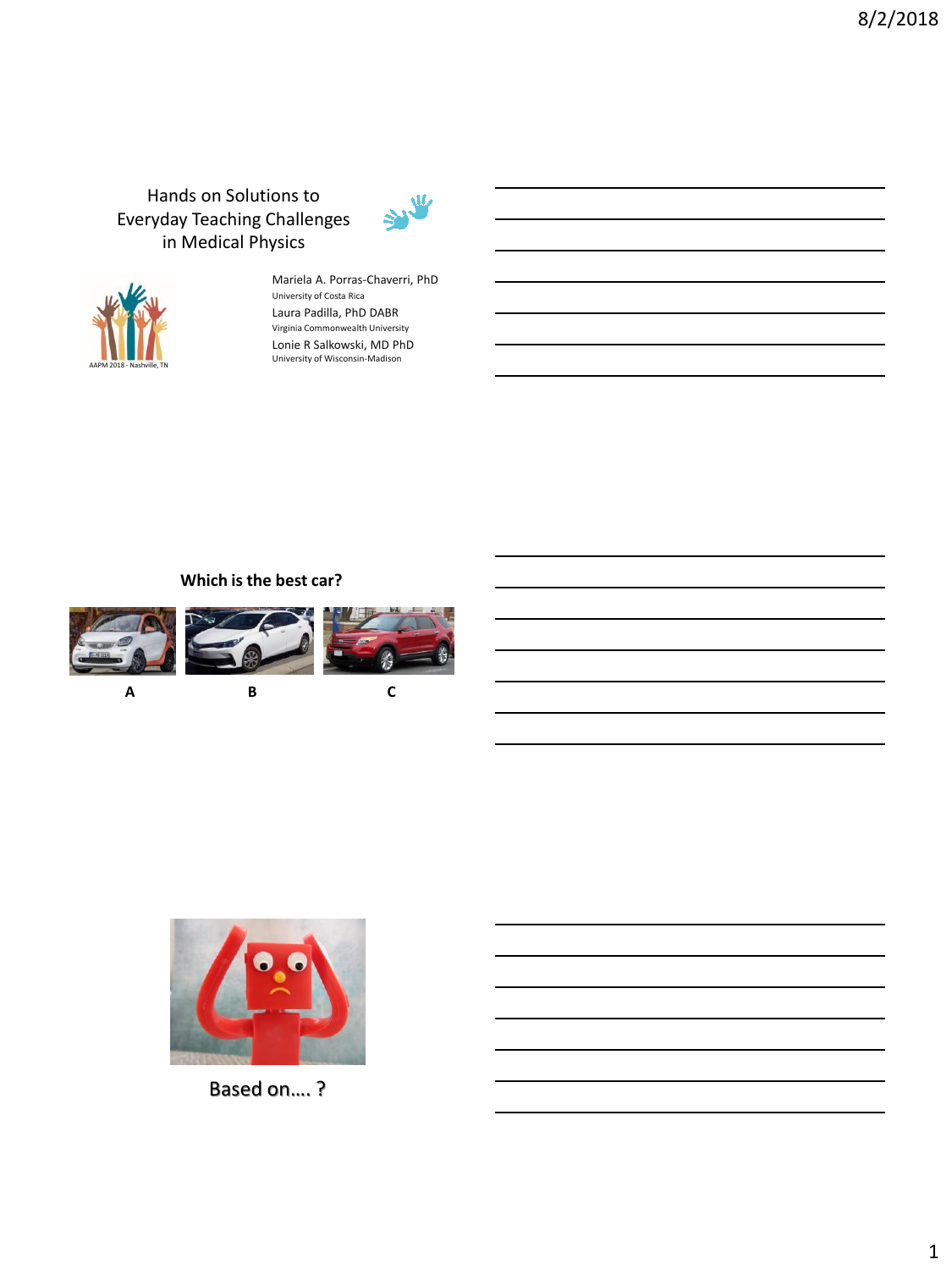# Hands on Solutions to Everyday Teaching Challenges in Medical Physics





Mariela A. Porras-Chaverri, PhD University of Costa Rica Laura Padilla, PhD DABR Virginia Commonwealth University Lonie R Salkowski, MD PhD University of Wisconsin-Madison

## **Which is the best car?**









Based on…. ?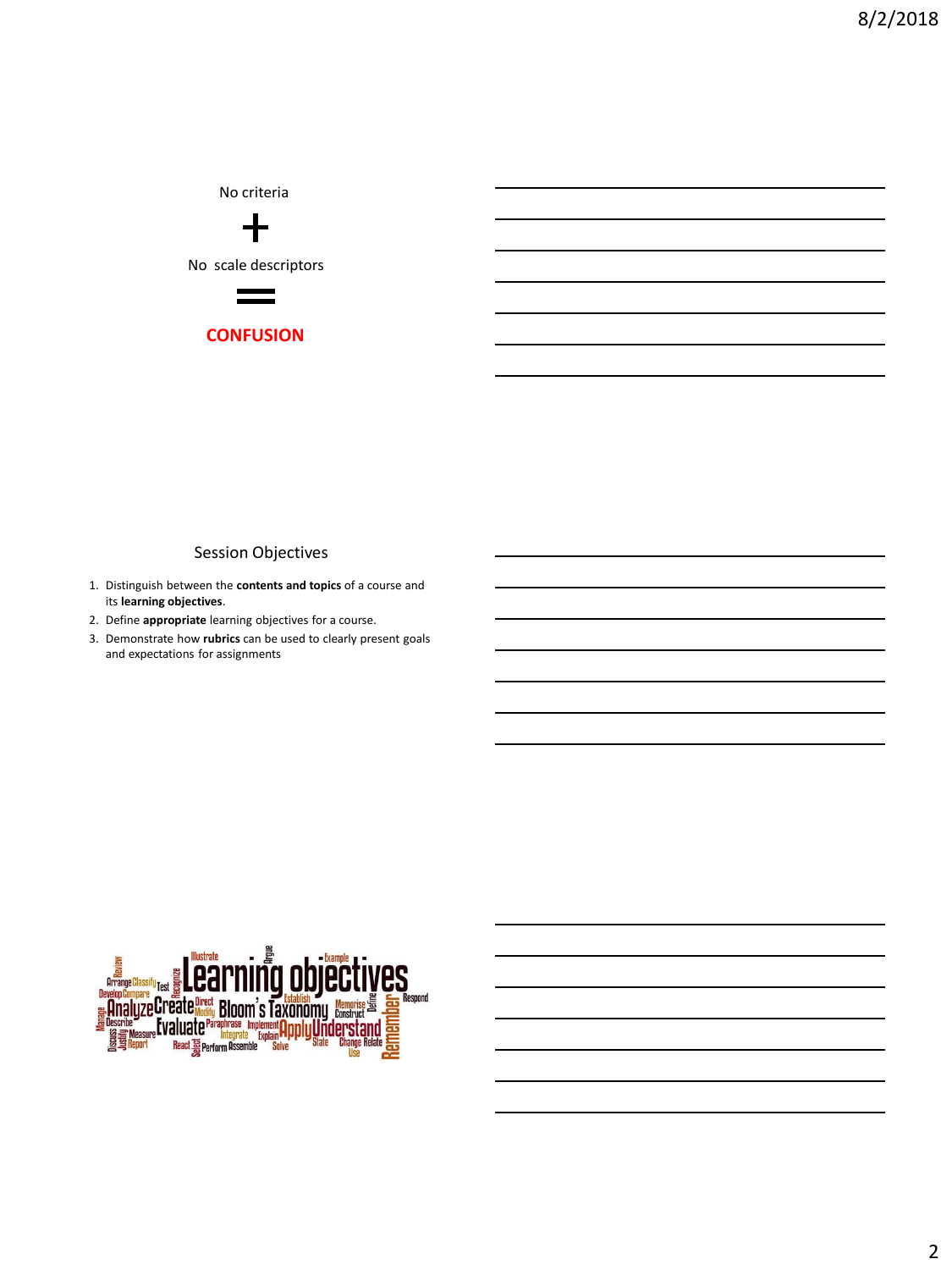No criteria  $\div$ No scale descriptors



**CONFUSION**

#### Session Objectives

- 1. Distinguish between the **contents and topics** of a course and its **learning objectives**.
- 2. Define **appropriate** learning objectives for a course.
- 3. Demonstrate how **rubrics** can be used to clearly present goals and expectations for assignments

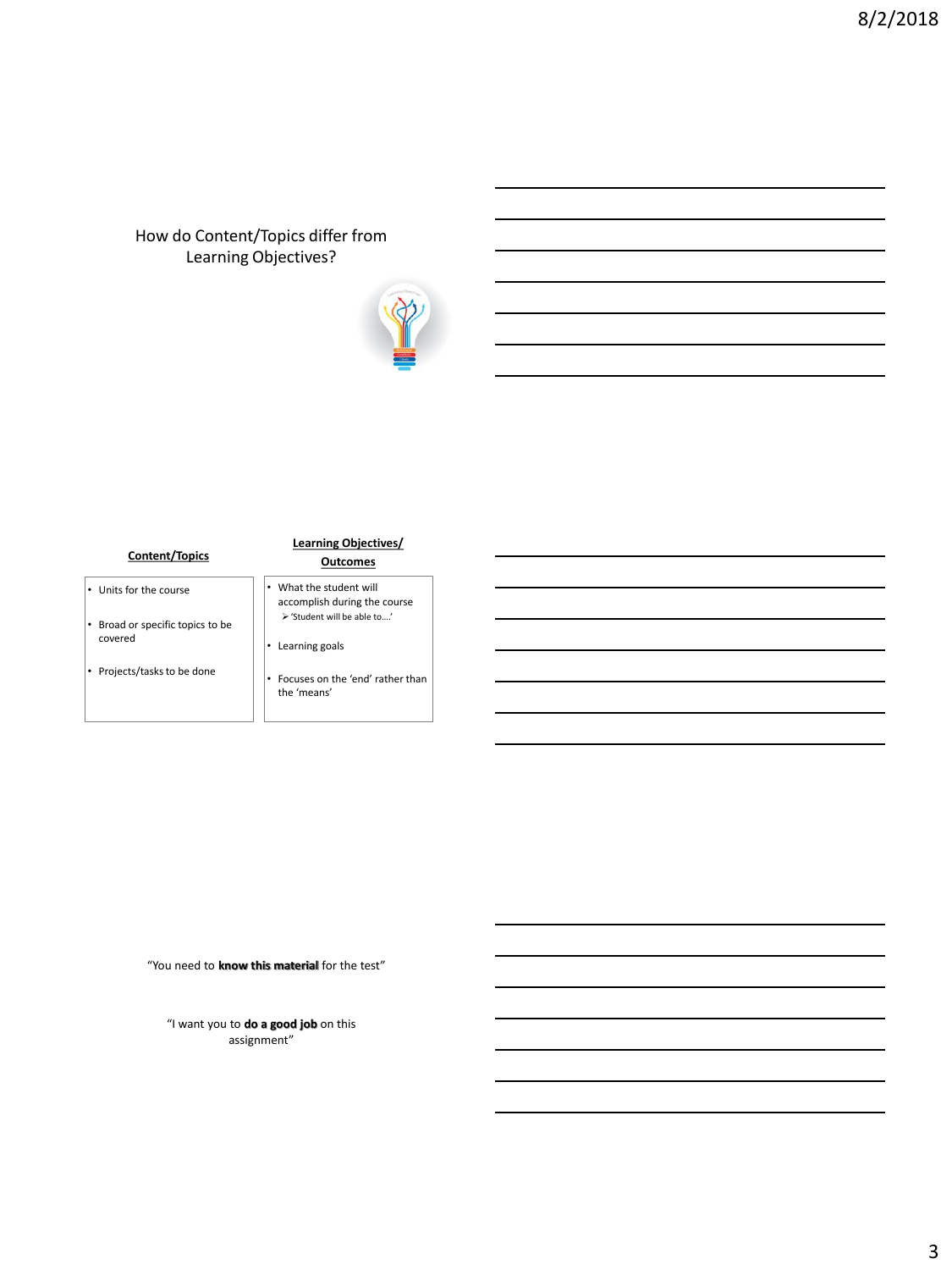# How do Content/Topics differ from Learning Objectives?



#### **Content/Topics**

- Units for the course
- Broad or specific topics to be covered
- Projects/tasks to be done

#### **Learning Objectives/ Outcomes**

- What the student will accomplish during the course  $\blacktriangleright$  'Student will be able to….' • Learning goals
- - Focuses on the 'end' rather than the 'means'

"You need to **know this material** for the test"

"I want you to **do a good job** on this assignment"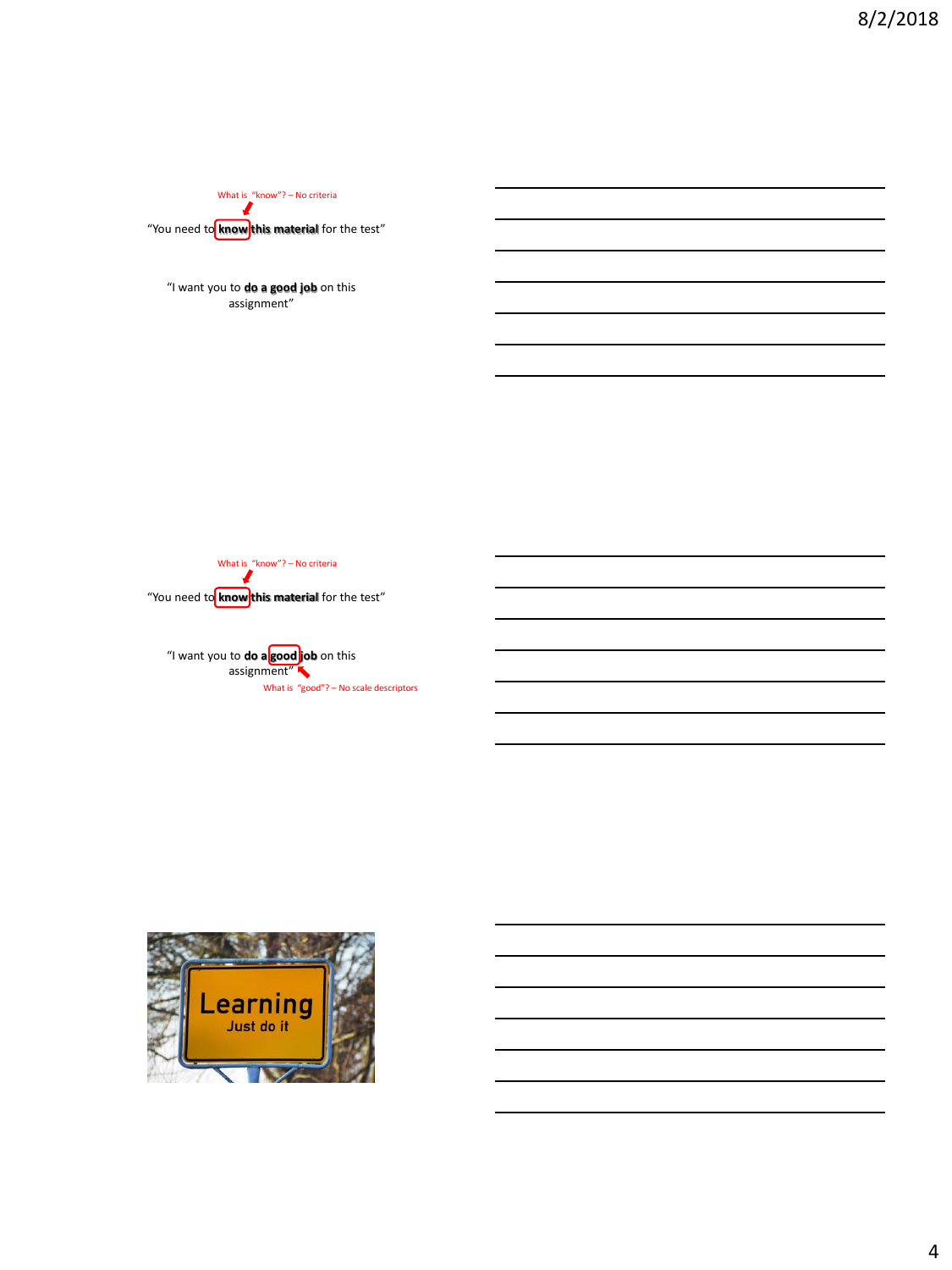"You need to **know** this material for the test" What is "know"? – No criteria

"I want you to **do a good job** on this assignment"

"You need to **know** this material for the test" What is "know"? – No criteria

"I want you to **do a good job** on this assignment" What is "good"? – No scale descriptors

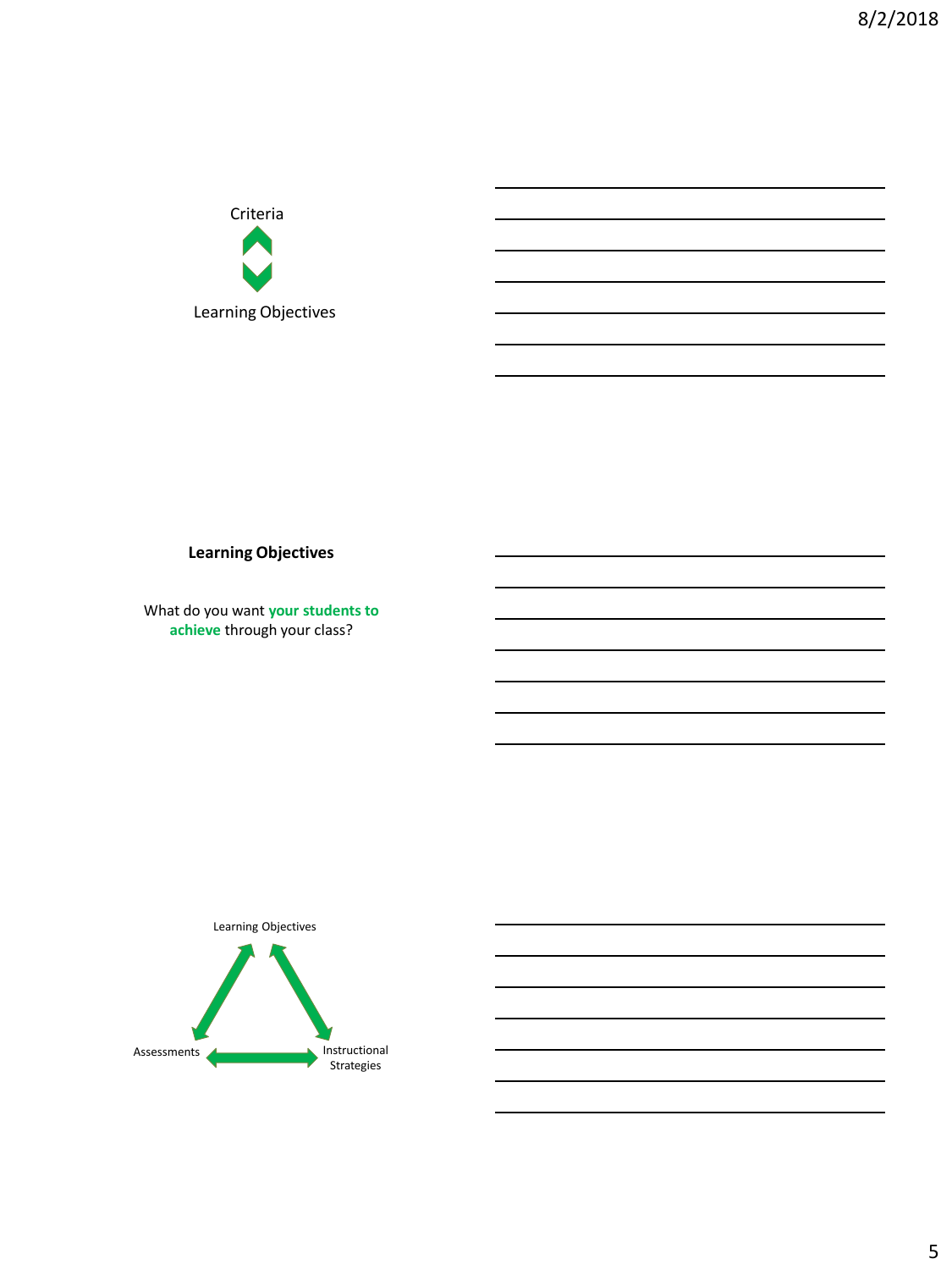

# **Learning Objectives**

What do you want **your students to achieve** through your class?

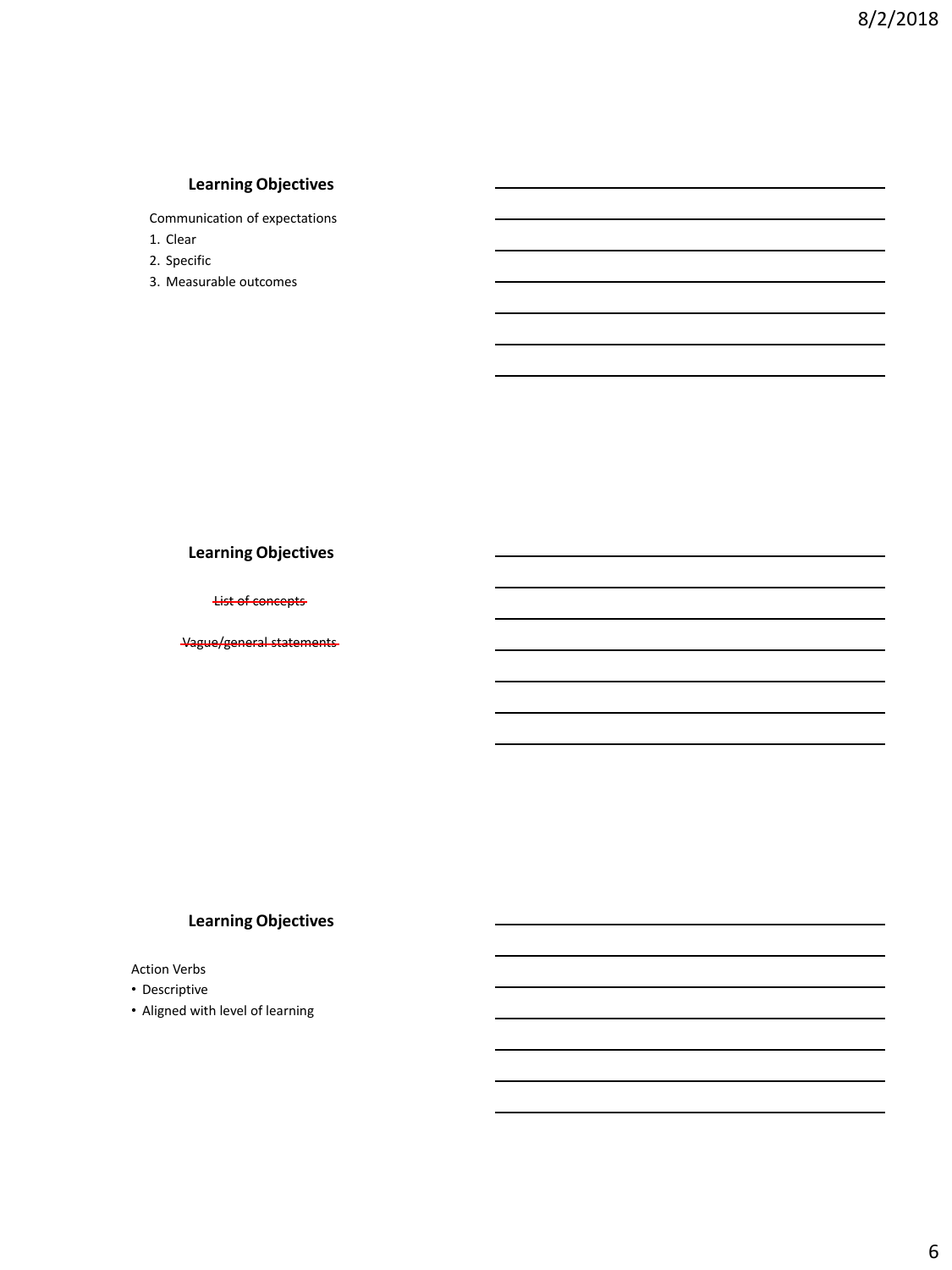# **Learning Objectives**

Communication of expectations

- 1. Clear
- 2. Specific
- 3. Measurable outcomes

## **Learning Objectives**

List of concepts

Vague/general statements

### **Learning Objectives**

Action Verbs

- Descriptive
- Aligned with level of learning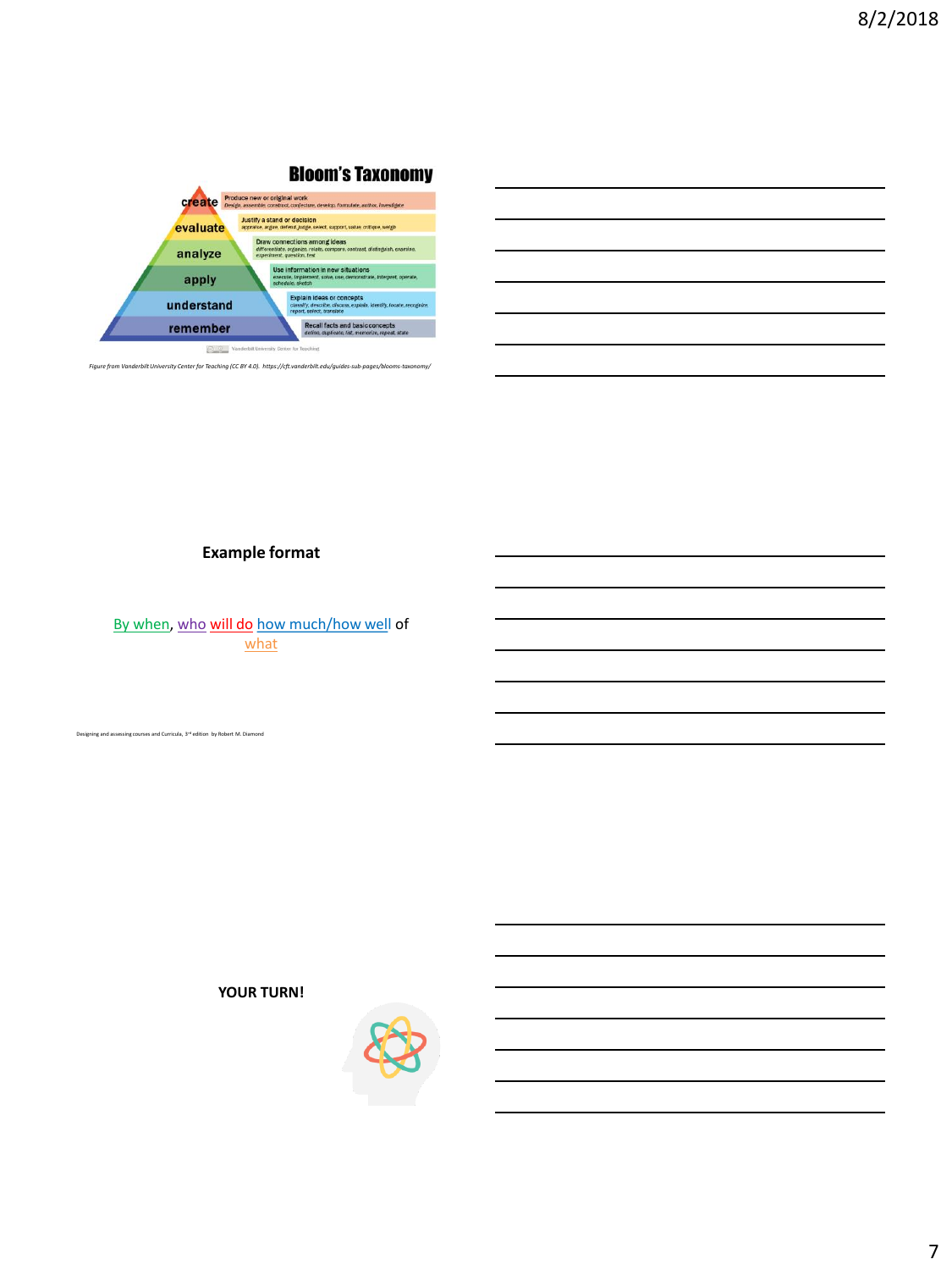

| Bioom's Taxonomy |  |  |
|------------------|--|--|
|                  |  |  |



# **Example format**

By when, who will do how much/how well of what

 $\sin$ g and assessing courses and Curricula,  $3^{n\sharp}$  edition  $\,$  by Robert M. Diamond

**YOUR TURN!**

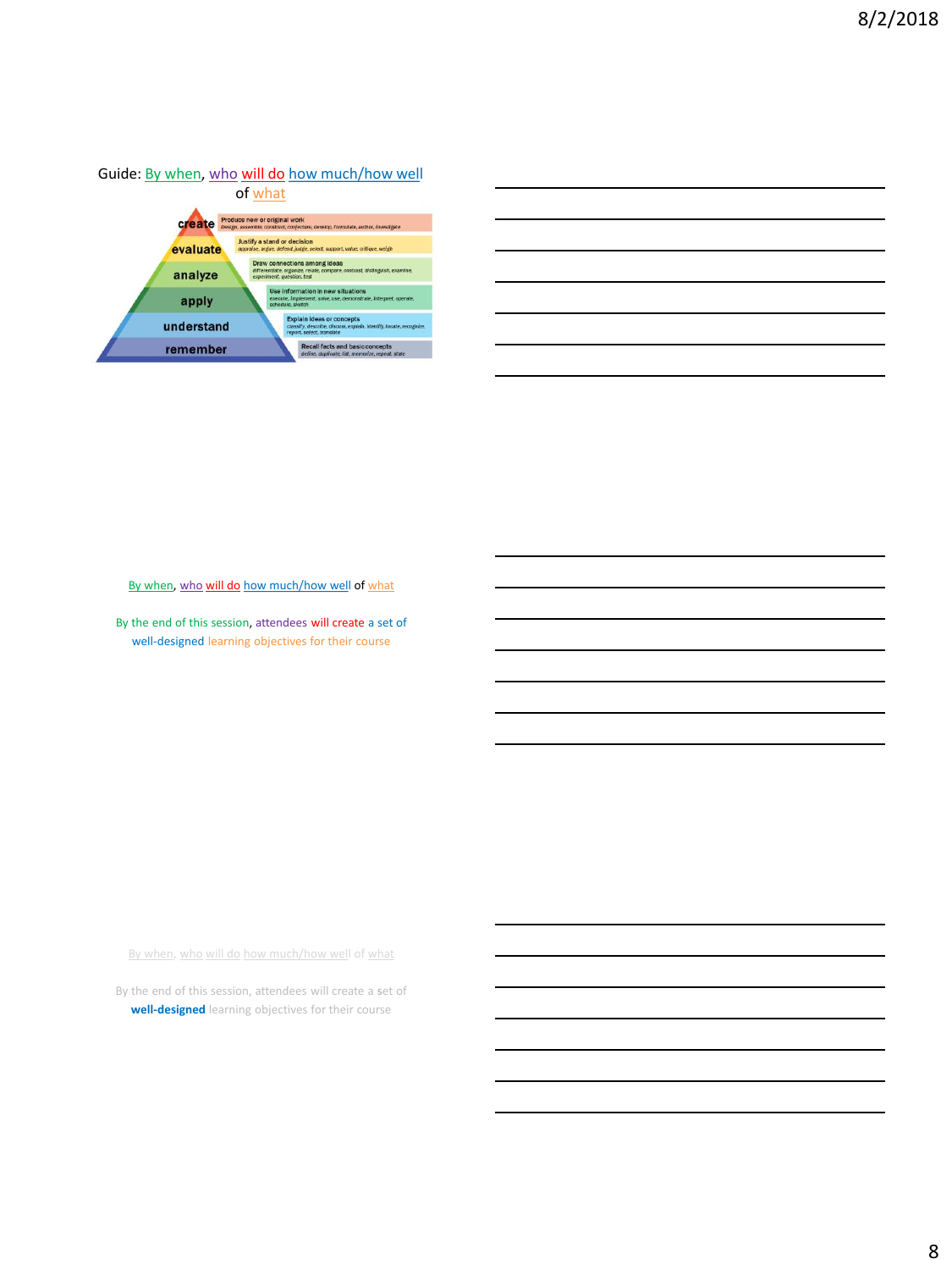

By when, who will do how much/how well of what

By the end of this session, attendees will create a set of well-designed learning objectives for their course

By when, who will do how much/how well of what

By the end of this session, attendees will create a **s**et of **well-designed** learning objectives for their course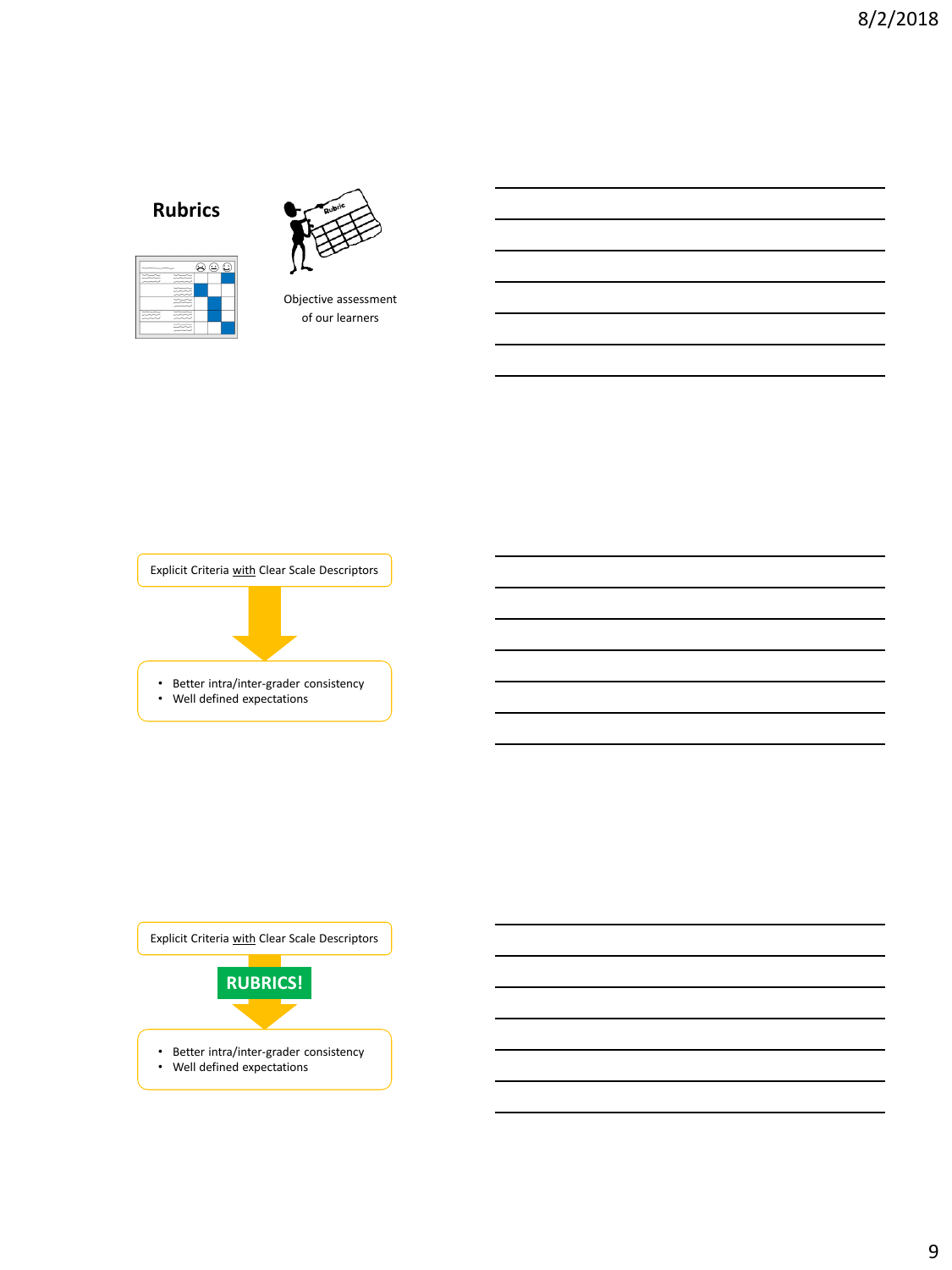# **Rubrics**





Objective assessment of our learners



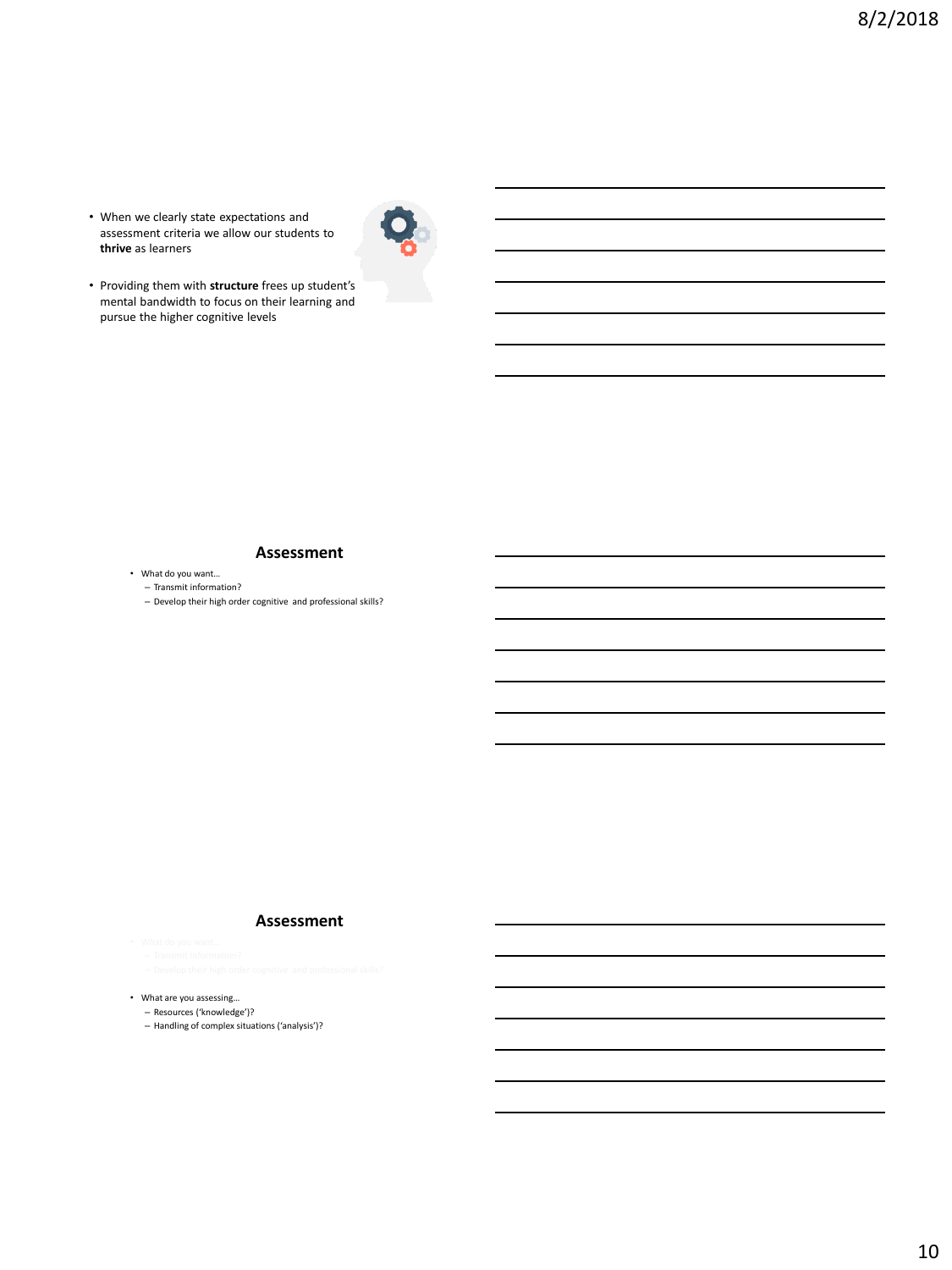• When we clearly state expectations and assessment criteria we allow our students to **thrive** as learners



• Providing them with **structure** frees up student's mental bandwidth to focus on their learning and pursue the higher cognitive levels

#### **Assessment**

• What do you want…

– Transmit information?

– Develop their high order cognitive and professional skills?

#### **Assessment**

• What are you assessing…

– Resources ('knowledge')?

– Handling of complex situations ('analysis')?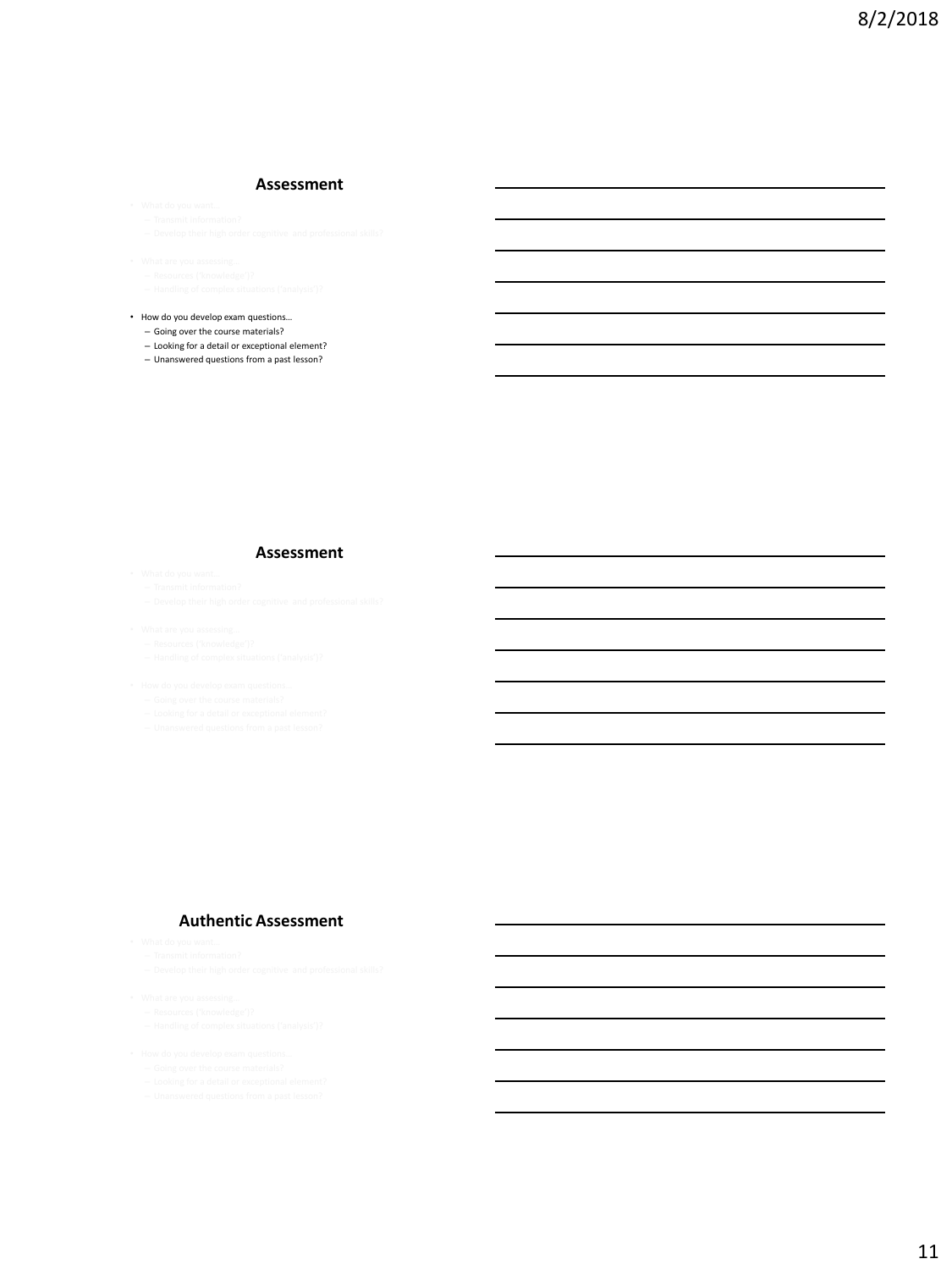#### **Assessment**

• How do you develop exam questions… – Going over the course materials?

– Looking for a detail or exceptional element?

– Unanswered questions from a past lesson?

#### **Assessment**

- 
- 

- 
- 

#### **Authentic Assessment**

- 
- 

- 
- 
- 
-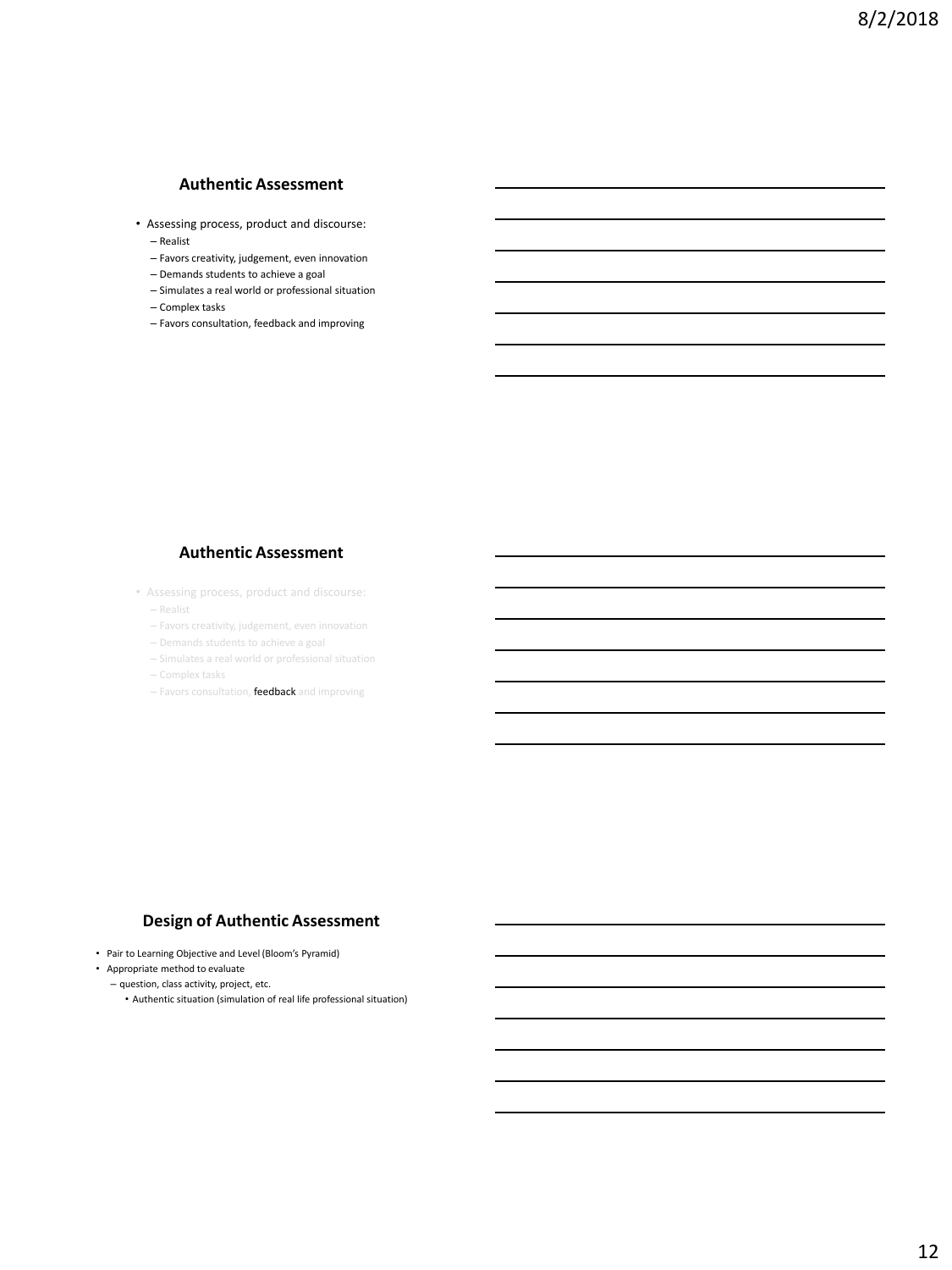## **Authentic Assessment**

- Assessing process, product and discourse: – Realist
	- Favors creativity, judgement, even innovation
	- Demands students to achieve a goal
	- Simulates a real world or professional situation
	- Complex tasks
	- Favors consultation, feedback and improving

#### **Authentic Assessment**

- Assessing process, product and discourse:
	- Realist
	- Favors creativity, judgement, even innovation
	- Demands students to achieve a goal
	- Simulates a real world or professional situation
	-
	- Favors consultation, feedback and improving

#### **Design of Authentic Assessment**

- Pair to Learning Objective and Level (Bloom's Pyramid)
- Appropriate method to evaluate
	- question, class activity, project, etc.
		- Authentic situation (simulation of real life professional situation)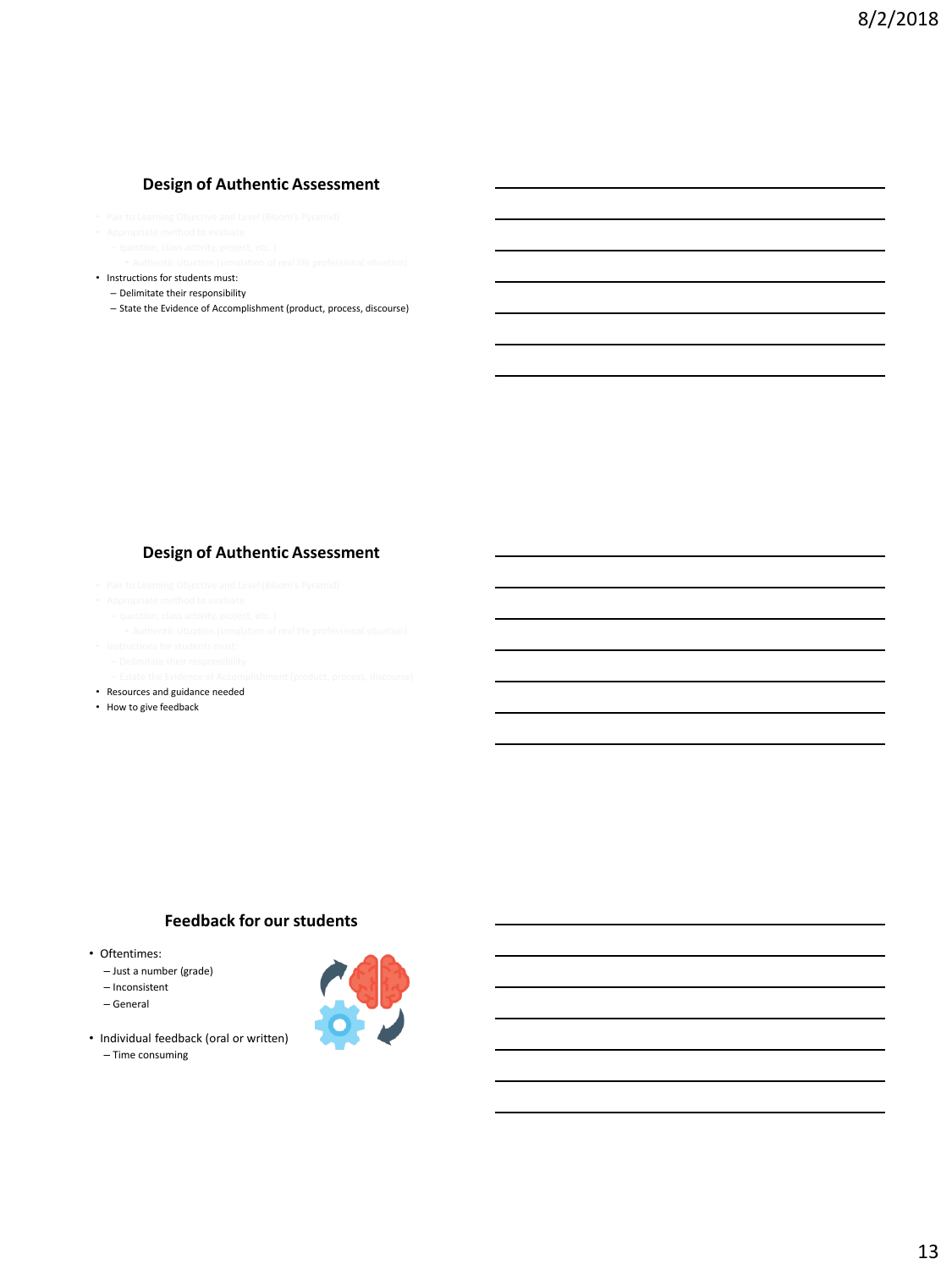## **Design of Authentic Assessment**

- 
- 
- Instructions for students must:
	- Delimitate their responsibility
	- State the Evidence of Accomplishment (product, process, discourse)

#### **Design of Authentic Assessment**

- 
- 
- 
- 
- 
- 
- 
- Resources and guidance needed
- How to give feedback

## **Feedback for our students**

- Oftentimes:
	- Just a number (grade)
	- Inconsistent
	- General
- Individual feedback (oral or written)
	- Time consuming

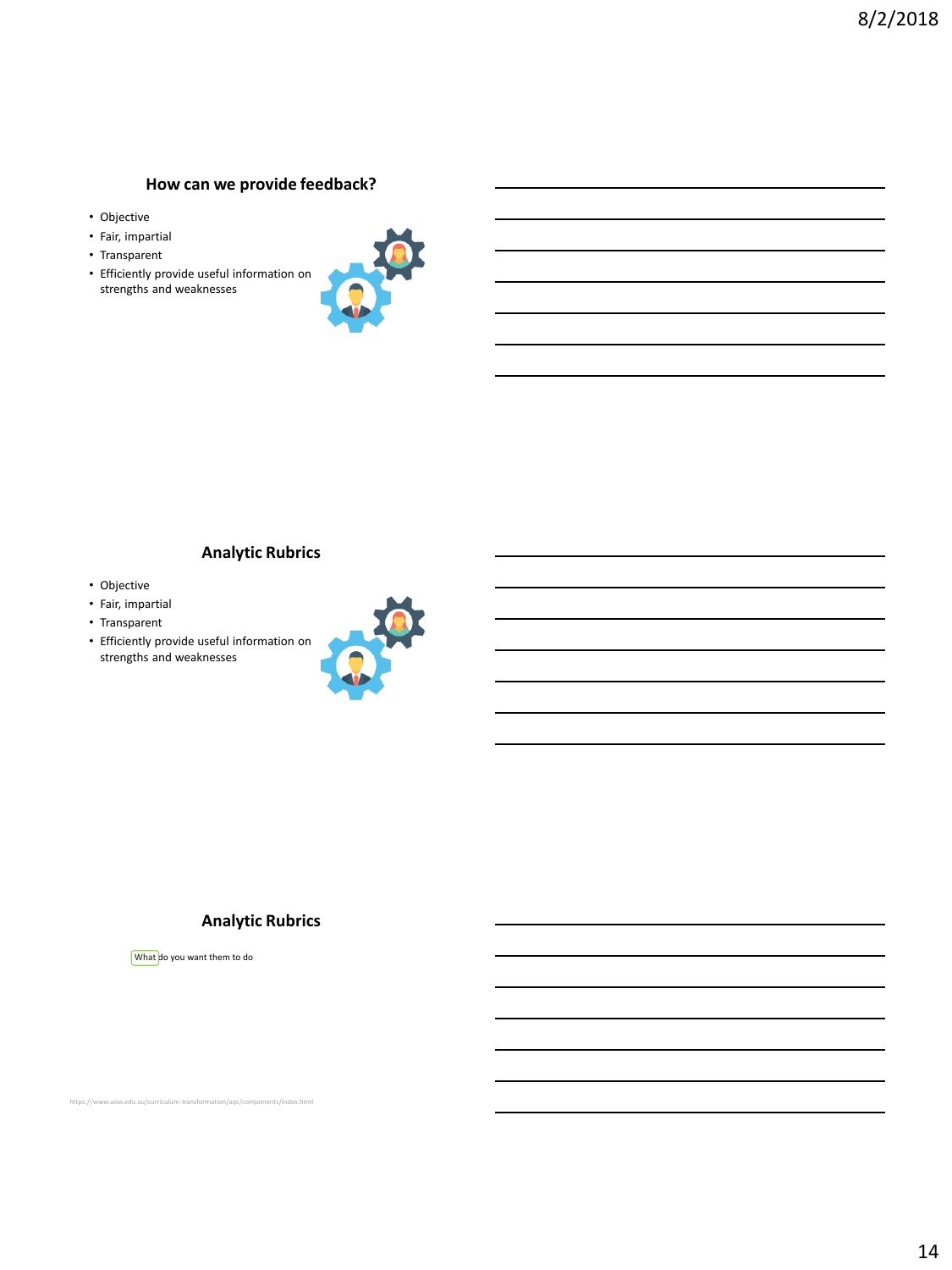## **How can we provide feedback?**

- Objective
- Fair, impartial
- Transparent
- Efficiently provide useful information on strengths and weaknesses



### **Analytic Rubrics**

- Objective
- Fair, impartial
- Transparent
- Efficiently provide useful information on strengths and weaknesses



### **Analytic Rubrics**

What do you want them to do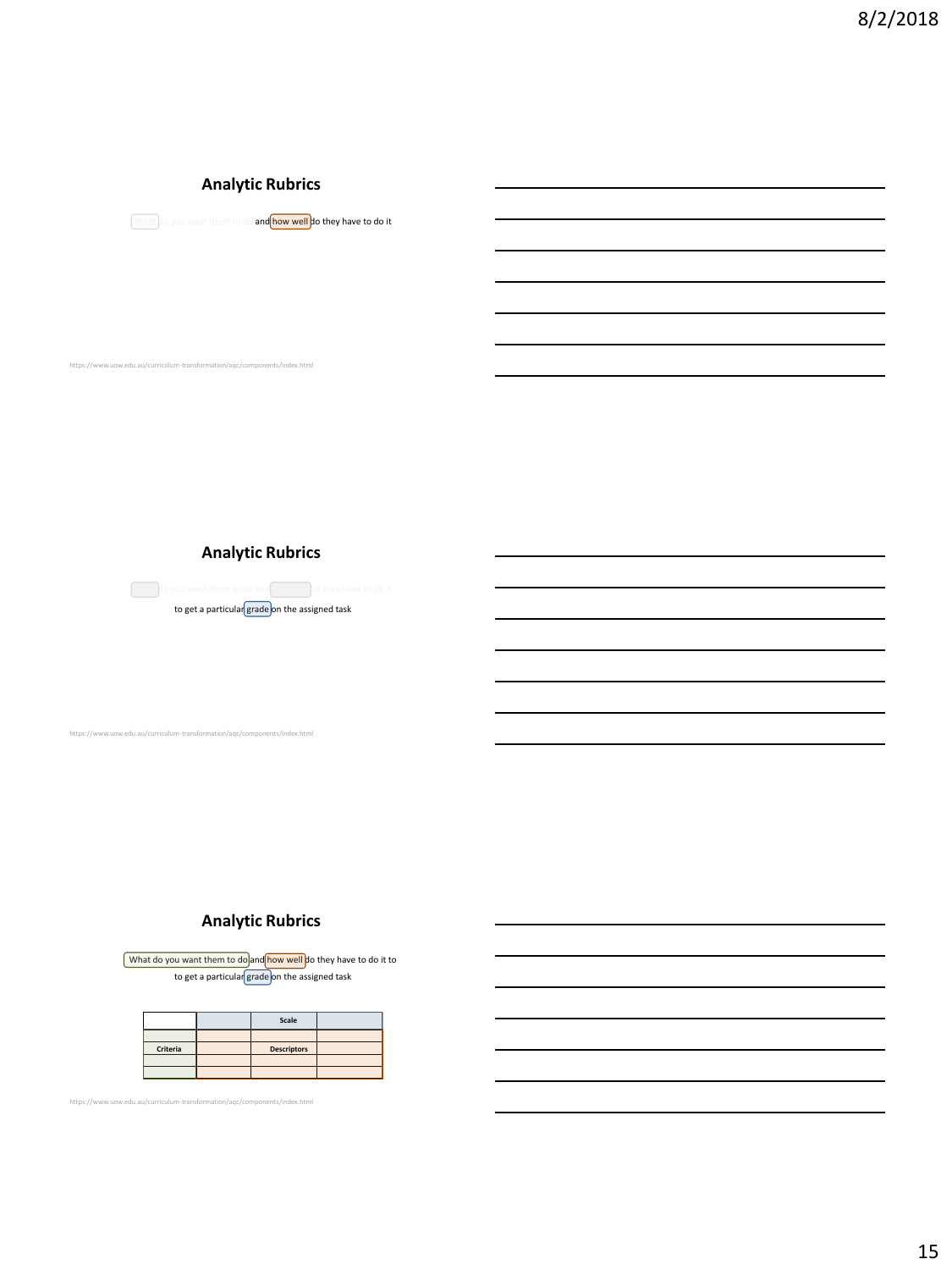## **Analytic Rubrics**



https://www.uow.edu.au/curriculum-transformation/aqc/components/index.html

#### **Analytic Rubrics**

do you want them to do and **how we well do they have to do it** to get a particular  $\boxed{\text{grade}}$  on the assigned task

https://www.uow.edu.au/curriculum-transformation/aqc/components/index.html

## **Analytic Rubrics**

What do you want them to do and how well do they have to do it to to get a particular grade on the assigned task

|          | Scale              |  |
|----------|--------------------|--|
|          |                    |  |
| Criteria | <b>Descriptors</b> |  |
|          |                    |  |
|          |                    |  |

https://www.uow.edu.au/curriculum-transformation/aqc/components/index.html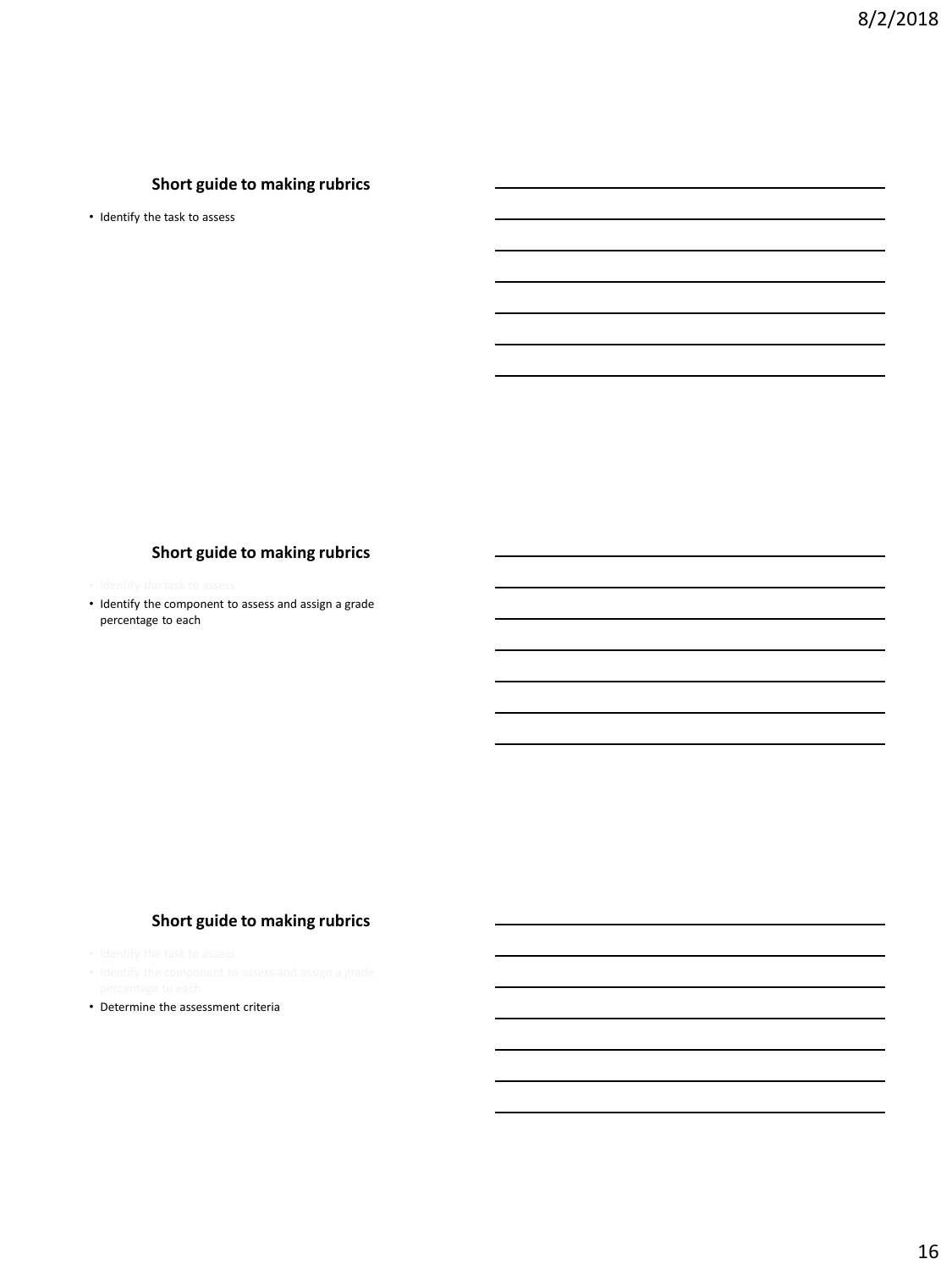# **Short guide to making rubrics**

• Identify the task to assess

### **Short guide to making rubrics**

• Identify the component to assess and assign a grade percentage to each

## **Short guide to making rubrics**

- 
- Determine the assessment criteria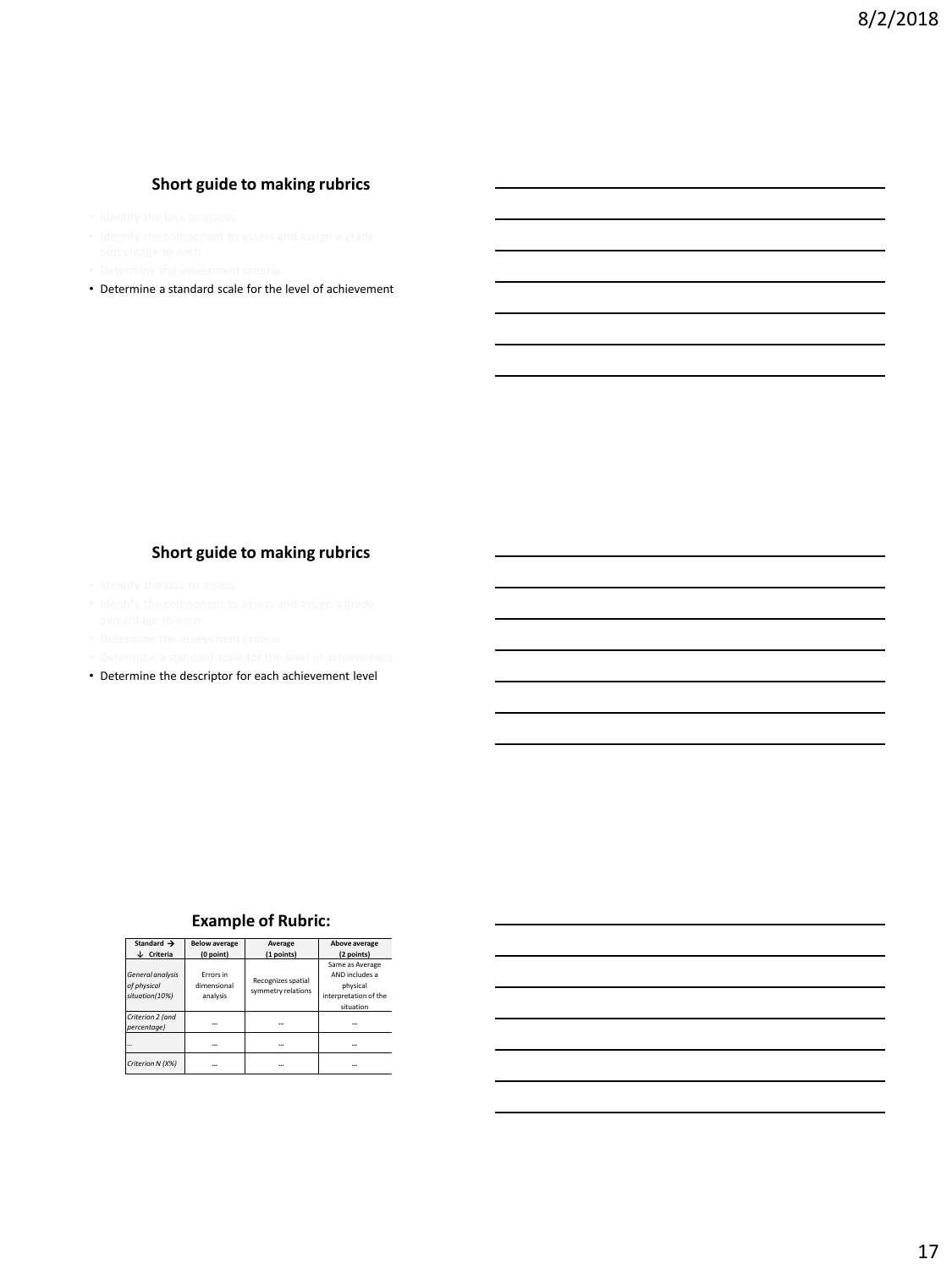## **Short guide to making rubrics**

- 
- 
- 
- Determine a standard scale for the level of achievement

## **Short guide to making rubrics**

- 
- 
- 
- 
- Determine the descriptor for each achievement level

### **Example of Rubric:**

| Standard $\rightarrow$ | <b>Below average</b> | Average            | Above average         |
|------------------------|----------------------|--------------------|-----------------------|
| ↓ Criteria             | (0 point)            | (1 points)         | (2 points)            |
|                        |                      |                    | Same as Average       |
| General analysis       | Frrors in            | Recognizes spatial | AND includes a        |
| of physical            | dimensional          | symmetry relations | physical              |
| situation(10%)         | analysis             |                    | interpretation of the |
|                        |                      |                    | situation             |
| Criterion 2 (and       |                      |                    |                       |
| percentage)            |                      | $\cdots$           |                       |
|                        |                      |                    |                       |
| Criterion N (X%)       |                      | $\cdots$           |                       |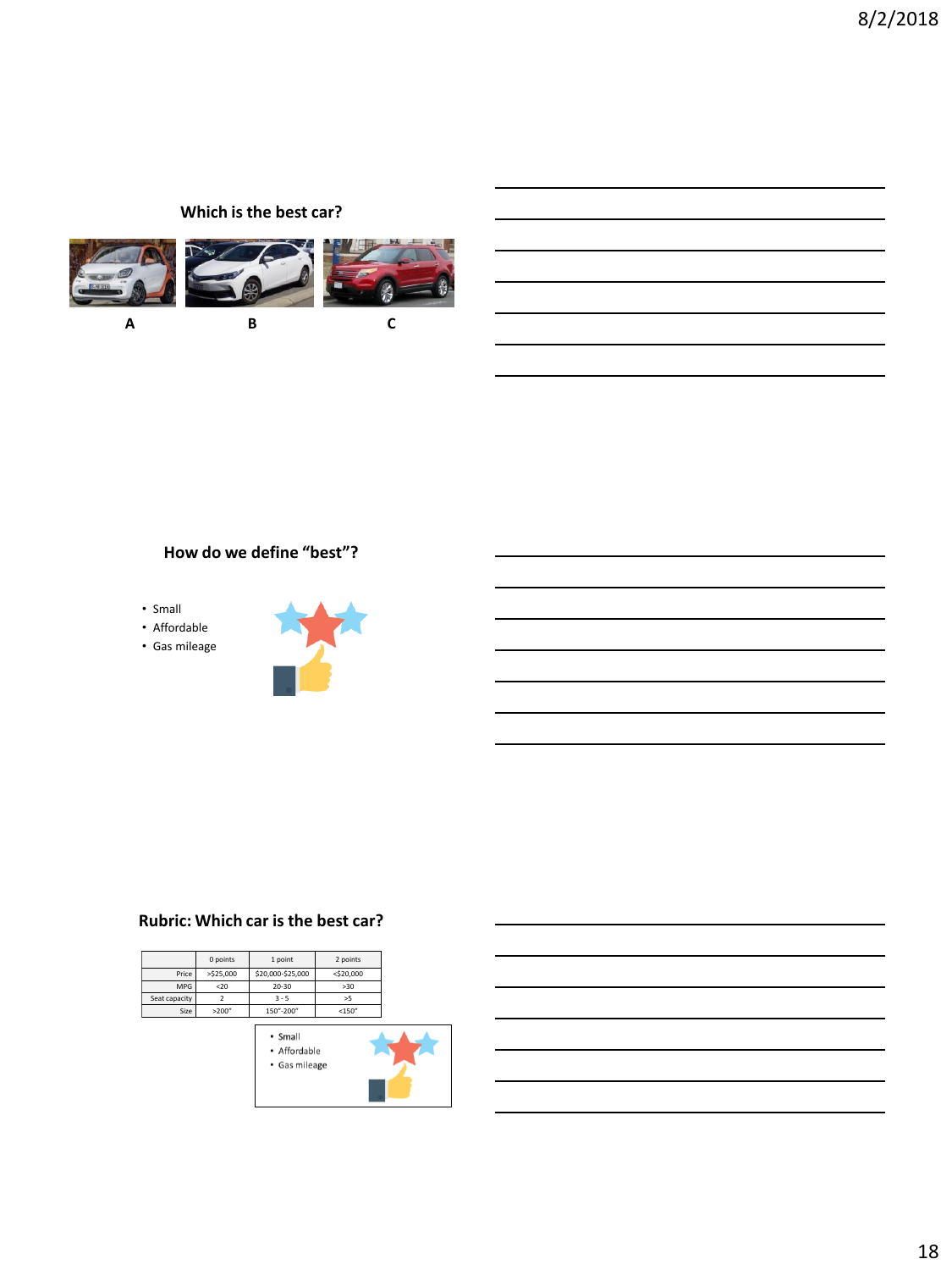## **Which is the best car?**



## **How do we define "best"?**

- Small
- Affordable
- Gas mileage



## **Rubric: Which car is the best car?**

|               | 0 points  | 1 point           | 2 points     |
|---------------|-----------|-------------------|--------------|
| Price         | >\$25,000 | \$20,000-\$25,000 | $<$ \$20,000 |
| <b>MPG</b>    | $20$      | $20 - 30$         | >30          |
| Seat capacity |           | $3 - 5$           | >5           |
| Size          | >200''    | 150"-200"         | <150"        |

- $\cdot$  Small • Affordable
- · Gas mileage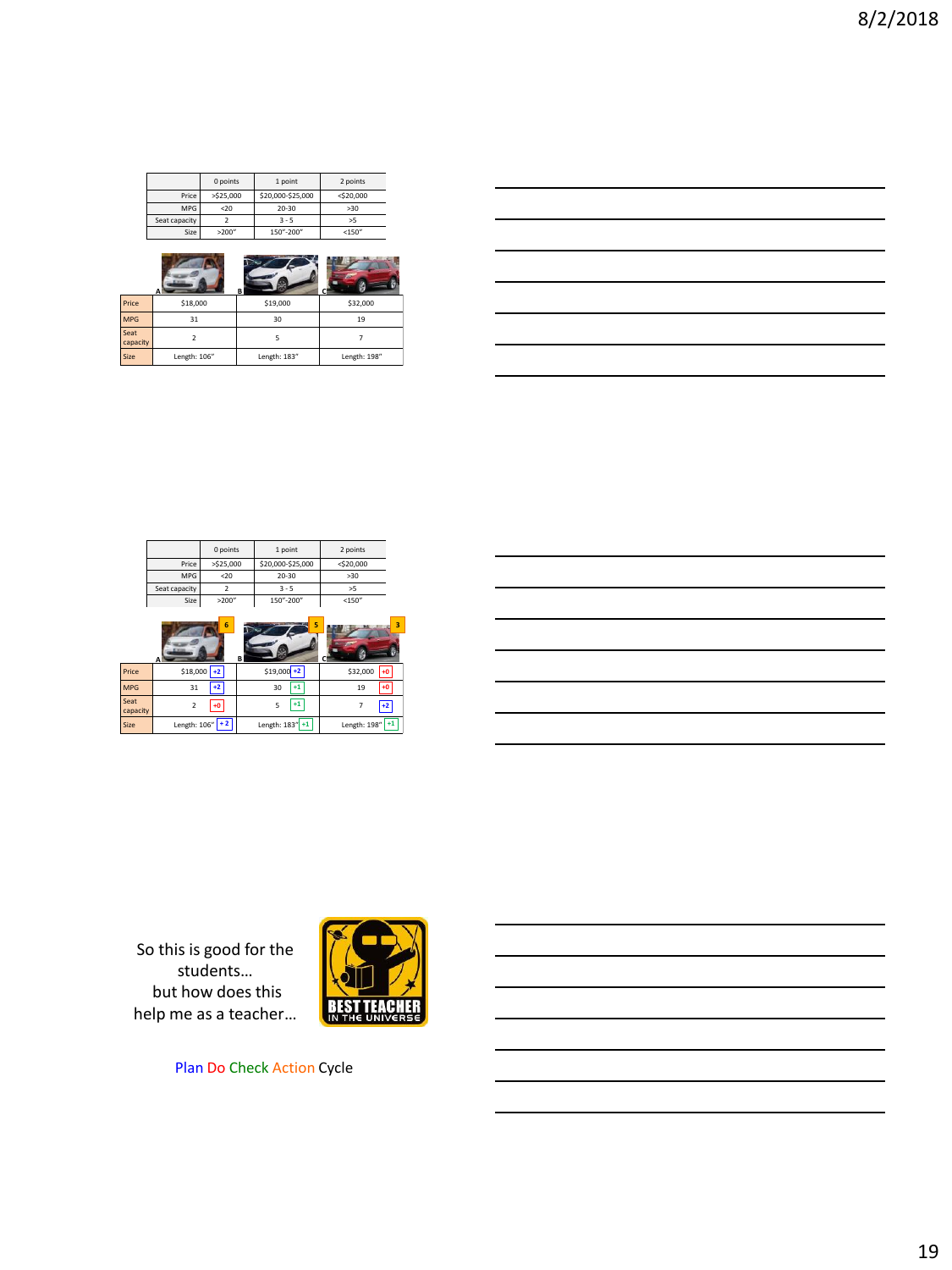|               | 0 points | 1 point           | 2 points     |
|---------------|----------|-------------------|--------------|
| Price         | >525.000 | \$20,000-\$25,000 | $<$ \$20.000 |
| <b>MPG</b>    | 20       | 20-30             | >30          |
| Seat capacity |          | $3 - 5$           | >5           |
| Size          | >200"    | 150"-200"         | <150''       |
|               |          |                   |              |

|                  |              | В            |              |
|------------------|--------------|--------------|--------------|
| Price            | \$18,000     | \$19,000     | \$32,000     |
| <b>MPG</b>       | 31           | 30           | 19           |
| Seat<br>capacity | 2            |              |              |
| Size             | Length: 106" | Length: 183" | Length: 198" |

| <u> 1989 - Johann Stoff, deutscher Stoffen und der Stoffen und der Stoffen und der Stoffen und der Stoffen und der</u> |  |                                                                                                                                                                                                                                      |
|------------------------------------------------------------------------------------------------------------------------|--|--------------------------------------------------------------------------------------------------------------------------------------------------------------------------------------------------------------------------------------|
|                                                                                                                        |  |                                                                                                                                                                                                                                      |
| <u> 1989 - Johann Barn, mars ann an t-Amhain ann an t-Amhain ann an t-Amhain ann an t-Amhain an t-Amhain ann an t-</u> |  |                                                                                                                                                                                                                                      |
|                                                                                                                        |  | <u> London Communication and the communication of the communication of the communication of the communication of the communication of the communication of the communication of the communication of the communication of the co</u> |
| <u> 1989 - Johann Barn, fransk politik (f. 1989)</u>                                                                   |  |                                                                                                                                                                                                                                      |
| <u> 1989 - Johann Stoff, deutscher Stoff, der Stoff, der Stoff, der Stoff, der Stoff, der Stoff, der Stoff, der S</u>  |  |                                                                                                                                                                                                                                      |

|               | 0 points     | 1 point           | 2 points     |
|---------------|--------------|-------------------|--------------|
| Price         | $>$ \$25,000 | \$20,000-\$25,000 | $<$ \$20,000 |
| <b>MPG</b>    | $20$         | 20-30             | >30          |
| Seat capacity |              | $3 - 5$           | >5           |
| Size          | >200"        | 150"-200"         | <150''       |

|                  | 6                     | 5<br>в          | 3                    |
|------------------|-----------------------|-----------------|----------------------|
| Price            | $$18,000$ +2          | $$19,000 + 2$   | \$32,000<br>$+0$     |
| <b>MPG</b>       | $+2$<br>31            | 30<br>$+1$      | $+0$<br>19           |
| Seat<br>capacity | $+0$<br>$\mathcal{P}$ | $+1$<br>5       | $+2$                 |
| Size             | Length: $106"$ + 2    | Length: 183" +1 | $+1$<br>Length: 198" |

So this is good for the students… but how does this help me as a teacher…



Plan Do Check Action Cycle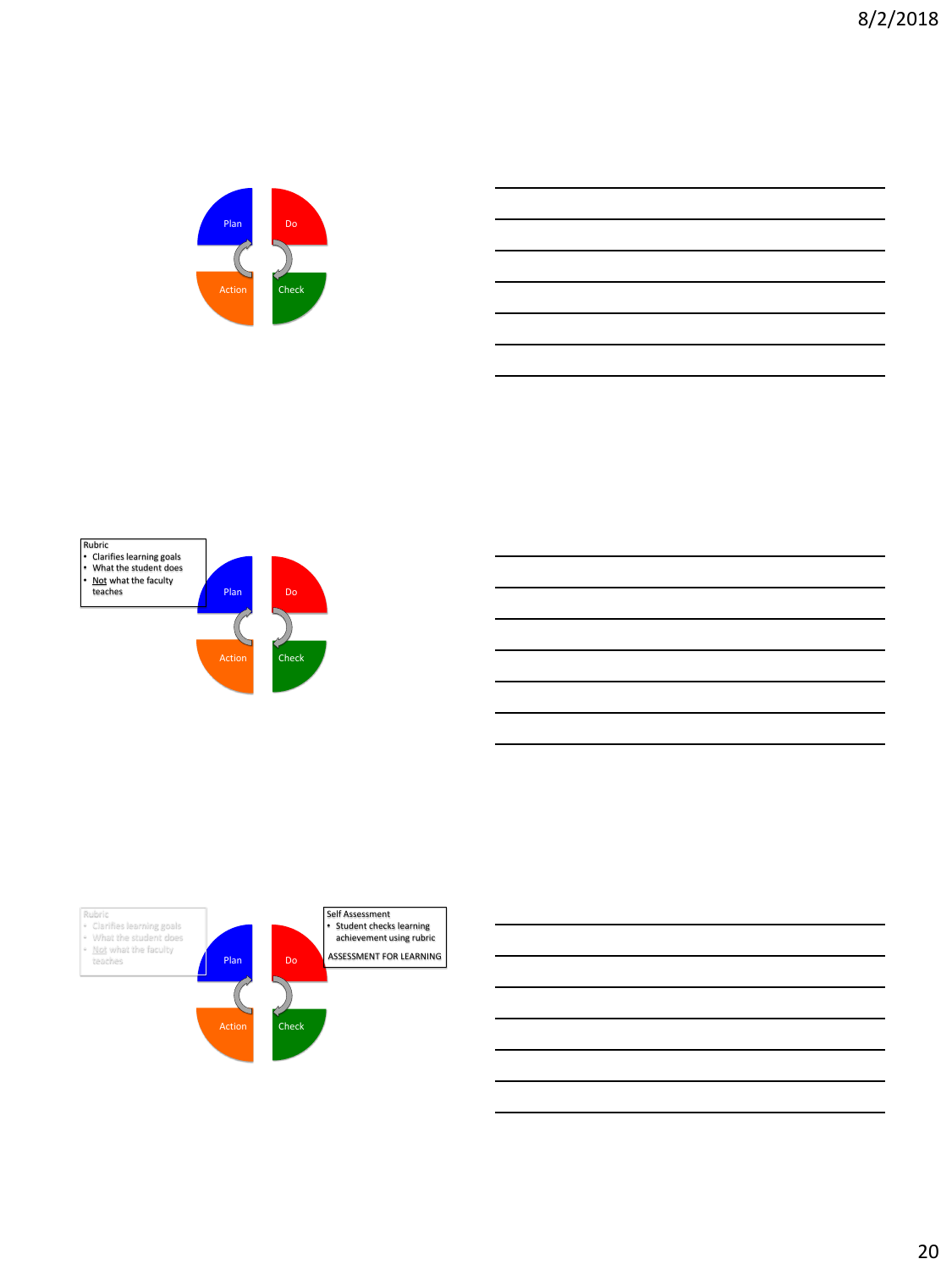





20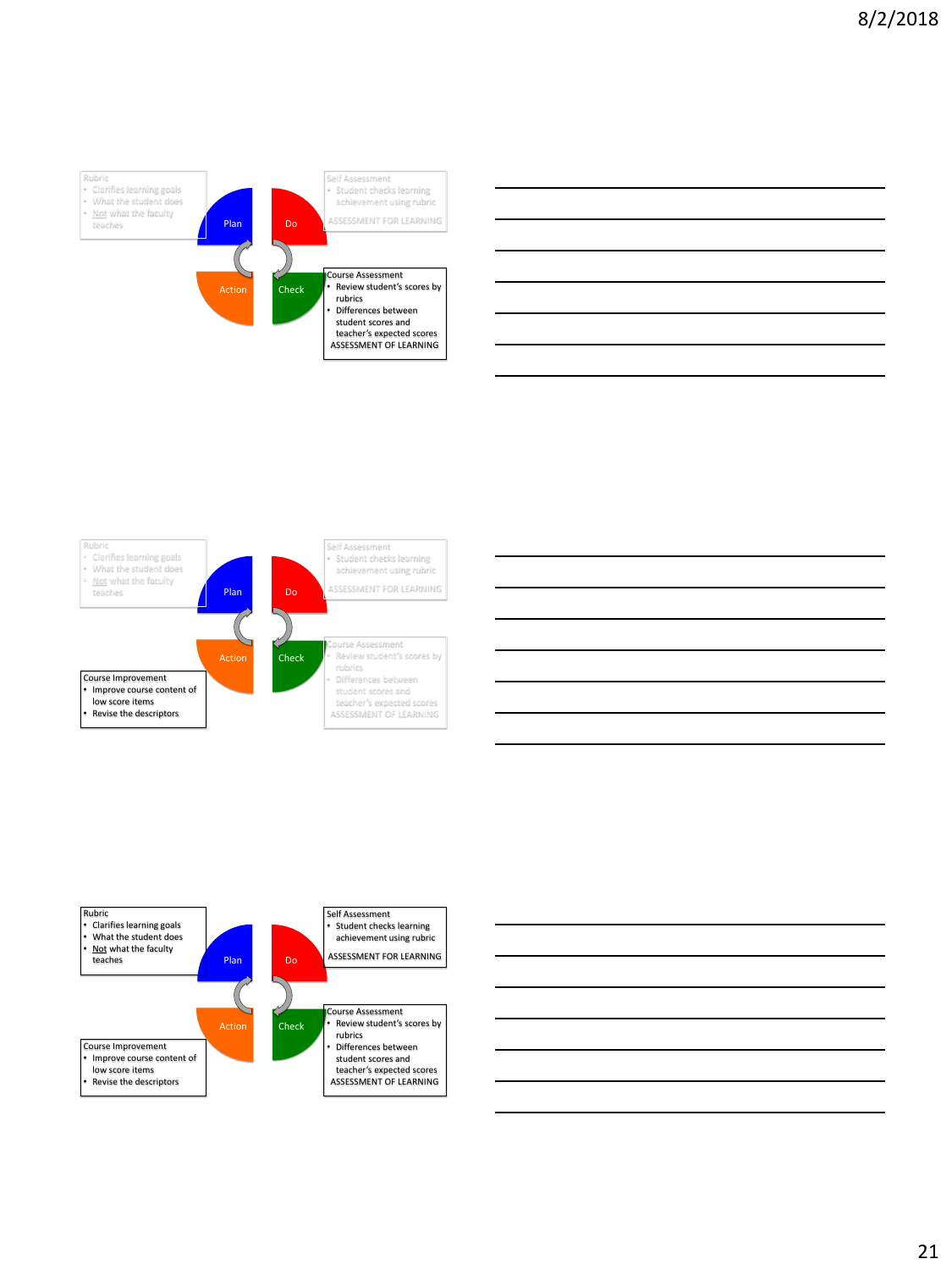